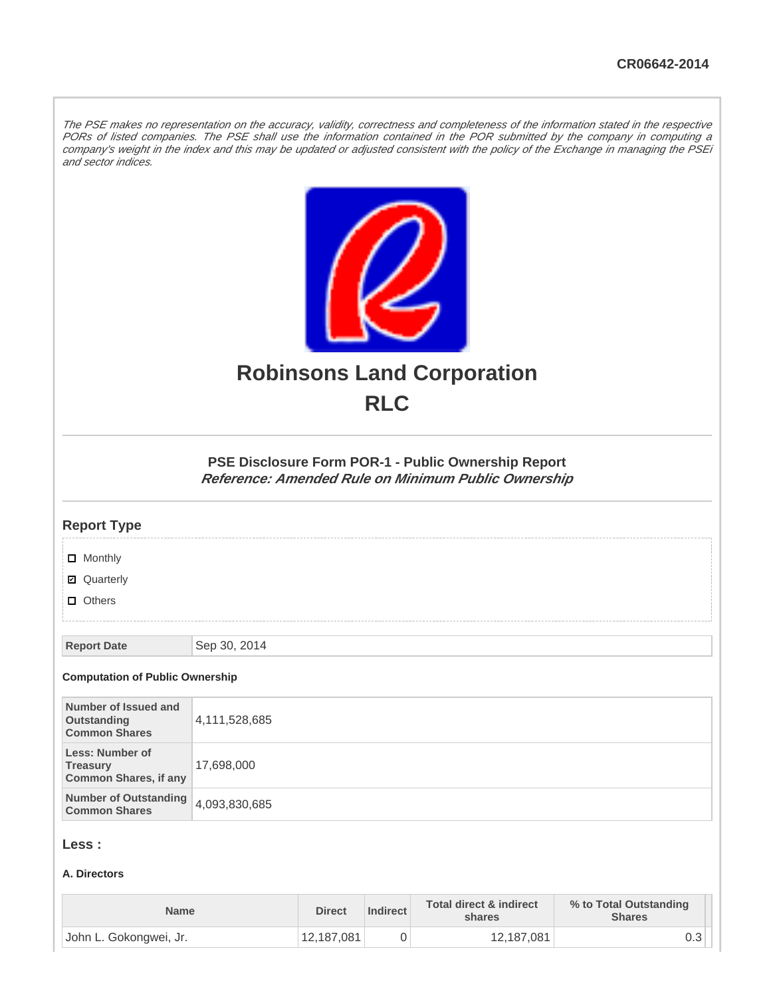The PSE makes no representation on the accuracy, validity, correctness and completeness of the information stated in the respective PORs of listed companies. The PSE shall use the information contained in the POR submitted by the company in computing a company's weight in the index and this may be updated or adjusted consistent with the policy of the Exchange in managing the PSEi and sector indices.



# **Robinsons Land Corporation RLC**

## **PSE Disclosure Form POR-1 - Public Ownership Report Reference: Amended Rule on Minimum Public Ownership**

#### **Report Type**

**D** Monthly

■ Quarterly

**D** Others

**Report Date** Sep 30, 2014

#### **Computation of Public Ownership**

| Number of Issued and<br>Outstanding<br><b>Common Shares</b>        | 4,111,528,685 |
|--------------------------------------------------------------------|---------------|
| Less: Number of<br><b>Treasury</b><br><b>Common Shares, if any</b> | 17,698,000    |
| Number of Outstanding 4,093,830,685<br><b>Common Shares</b>        |               |

## **Less :**

#### **A. Directors**

| <b>Name</b>            | <b>Direct</b> | Indirect | Total direct & indirect<br>shares | % to Total Outstanding<br><b>Shares</b> |
|------------------------|---------------|----------|-----------------------------------|-----------------------------------------|
| John L. Gokongwei, Jr. | 12,187,081    |          | 12,187,081                        | υ.ο                                     |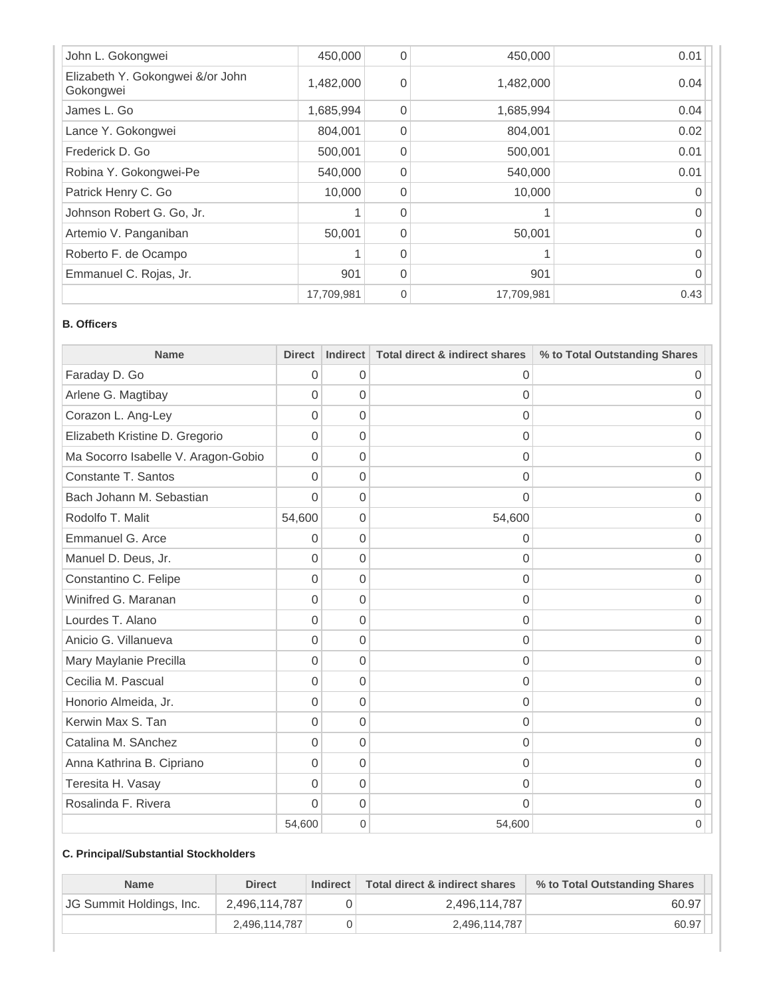| John L. Gokongwei                             | 450,000    | 0        | 450,000    | 0.01 |
|-----------------------------------------------|------------|----------|------------|------|
| Elizabeth Y. Gokongwei &/or John<br>Gokongwei | 1,482,000  | $\Omega$ | 1,482,000  | 0.04 |
| James L. Go                                   | 1,685,994  | $\Omega$ | 1,685,994  | 0.04 |
| Lance Y. Gokongwei                            | 804,001    | $\Omega$ | 804,001    | 0.02 |
| Frederick D. Go                               | 500,001    | $\Omega$ | 500,001    | 0.01 |
| Robina Y. Gokongwei-Pe                        | 540,000    | $\Omega$ | 540,000    | 0.01 |
| Patrick Henry C. Go                           | 10,000     | $\Omega$ | 10,000     | 0    |
| Johnson Robert G. Go, Jr.                     |            | $\Omega$ |            | 0    |
| Artemio V. Panganiban                         | 50,001     | $\Omega$ | 50,001     | 0    |
| Roberto F. de Ocampo                          |            | $\Omega$ |            | O    |
| Emmanuel C. Rojas, Jr.                        | 901        | $\Omega$ | 901        | U    |
|                                               | 17,709,981 | $\Omega$ | 17,709,981 | 0.43 |

#### **B. Officers**

| <b>Name</b>                         | <b>Direct</b>  | <b>Indirect</b> | <b>Total direct &amp; indirect shares</b> | % to Total Outstanding Shares |
|-------------------------------------|----------------|-----------------|-------------------------------------------|-------------------------------|
| Faraday D. Go                       | 0              | 0               | 0                                         | 0                             |
| Arlene G. Magtibay                  | 0              | 0               | 0                                         | 0                             |
| Corazon L. Ang-Ley                  | 0              | $\overline{0}$  | 0                                         | 0                             |
| Elizabeth Kristine D. Gregorio      | 0              | 0               | 0                                         | 0                             |
| Ma Socorro Isabelle V. Aragon-Gobio | 0              | 0               | $\overline{0}$                            | 0                             |
| Constante T. Santos                 | $\overline{0}$ | $\overline{0}$  | 0                                         | 0                             |
| Bach Johann M. Sebastian            | $\Omega$       | 0               | $\Omega$                                  | Ω                             |
| Rodolfo T. Malit                    | 54,600         | 0               | 54,600                                    | 0                             |
| Emmanuel G. Arce                    | 0              | 0               | 0                                         | 0                             |
| Manuel D. Deus, Jr.                 | $\overline{0}$ | $\overline{0}$  | $\Omega$                                  | 0                             |
| Constantino C. Felipe               | 0              | 0               | 0                                         | 0                             |
| Winifred G. Maranan                 | 0              | 0               | 0                                         | 0                             |
| Lourdes T. Alano                    | 0              | $\overline{0}$  | $\overline{0}$                            | 0                             |
| Anicio G. Villanueva                | $\overline{0}$ | 0               | 0                                         | 0                             |
| Mary Maylanie Precilla              | 0              | 0               | $\overline{0}$                            | 0                             |
| Cecilia M. Pascual                  | 0              | 0               | 0                                         | 0                             |
| Honorio Almeida, Jr.                | 0              | $\overline{0}$  | 0                                         | 0                             |
| Kerwin Max S. Tan                   | 0              | 0               | 0                                         | 0                             |
| Catalina M. SAnchez                 | 0              | 0               | 0                                         | 0                             |
| Anna Kathrina B. Cipriano           | $\overline{0}$ | 0               | 0                                         | 0                             |
| Teresita H. Vasay                   | $\Omega$       | 0               | 0                                         | 0                             |
| Rosalinda F. Rivera                 | $\Omega$       | 0               | 0                                         | 0                             |
|                                     | 54,600         | 0               | 54,600                                    | 0                             |

#### **C. Principal/Substantial Stockholders**

| <b>Name</b>                     | <b>Direct</b> | <b>Indirect</b> | Total direct & indirect shares | % to Total Outstanding Shares |
|---------------------------------|---------------|-----------------|--------------------------------|-------------------------------|
| <b>JG Summit Holdings, Inc.</b> | 2,496,114,787 |                 | 2,496,114,787                  | 60.97                         |
|                                 | 2.496.114.787 |                 | 2,496,114,787                  | 60.97                         |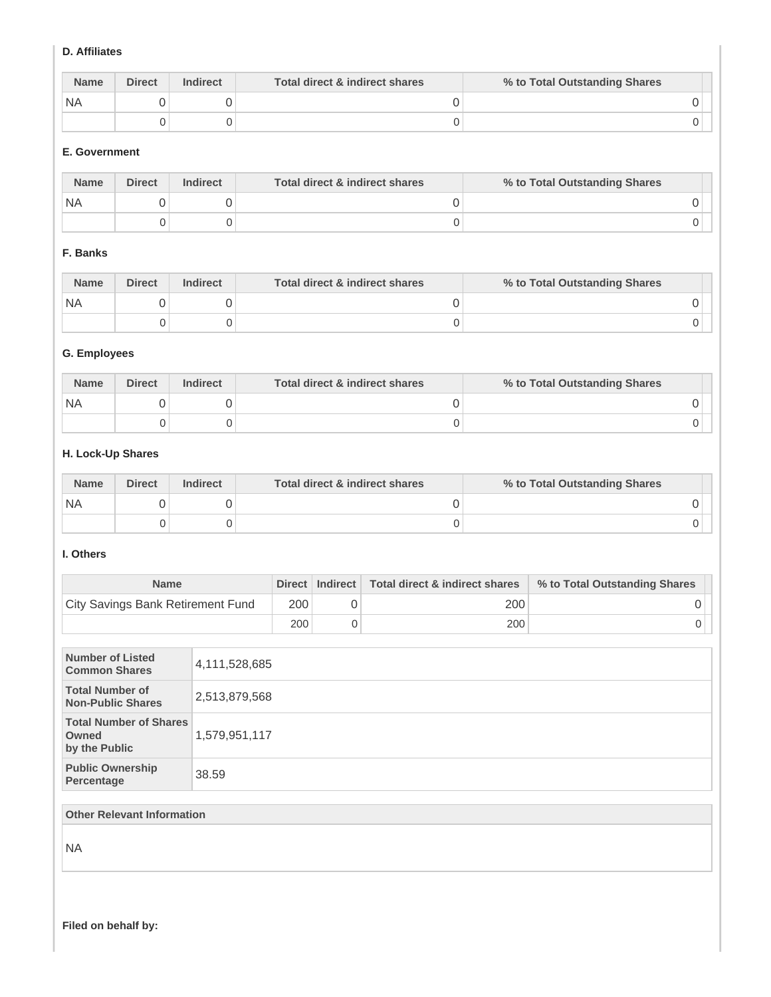#### **D. Affiliates**

| <b>Name</b> | <b>Direct</b> | <b>Indirect</b> | Total direct & indirect shares | % to Total Outstanding Shares |
|-------------|---------------|-----------------|--------------------------------|-------------------------------|
| <b>NA</b>   |               |                 |                                |                               |
|             |               |                 |                                |                               |

#### **E. Government**

| <b>Name</b> | <b>Direct</b> | <b>Indirect</b> | Total direct & indirect shares | % to Total Outstanding Shares |
|-------------|---------------|-----------------|--------------------------------|-------------------------------|
| <b>NA</b>   |               |                 |                                |                               |
|             |               |                 |                                |                               |

## **F. Banks**

| <b>Name</b> | <b>Direct</b> | <b>Indirect</b> | Total direct & indirect shares | % to Total Outstanding Shares |
|-------------|---------------|-----------------|--------------------------------|-------------------------------|
| <b>NA</b>   |               |                 |                                |                               |
|             |               |                 |                                |                               |

#### **G. Employees**

| <b>Name</b> | <b>Direct</b> | <b>Indirect</b> | Total direct & indirect shares | % to Total Outstanding Shares |
|-------------|---------------|-----------------|--------------------------------|-------------------------------|
| ' NA        |               |                 |                                |                               |
|             |               |                 |                                |                               |

#### **H. Lock-Up Shares**

| <b>Name</b> | <b>Direct</b> | <b>Indirect</b> | Total direct & indirect shares | % to Total Outstanding Shares |
|-------------|---------------|-----------------|--------------------------------|-------------------------------|
| <b>NA</b>   |               |                 |                                |                               |
|             |               |                 |                                |                               |

#### **I. Others**

| <b>Name</b>                              |     | Direct   Indirect   Total direct & indirect shares | % to Total Outstanding Shares |
|------------------------------------------|-----|----------------------------------------------------|-------------------------------|
| <b>City Savings Bank Retirement Fund</b> | 200 | 200                                                |                               |
|                                          | 200 | 200                                                |                               |

| <b>Number of Listed</b><br><b>Common Shares</b>         | 4,111,528,685 |
|---------------------------------------------------------|---------------|
| <b>Total Number of</b><br><b>Non-Public Shares</b>      | 2,513,879,568 |
| <b>Total Number of Shares</b><br>Owned<br>by the Public | 1,579,951,117 |
| <b>Public Ownership</b><br>Percentage                   | 38.59         |
|                                                         |               |
| <b>Other Relevant Information</b>                       |               |

NA

**Filed on behalf by:**